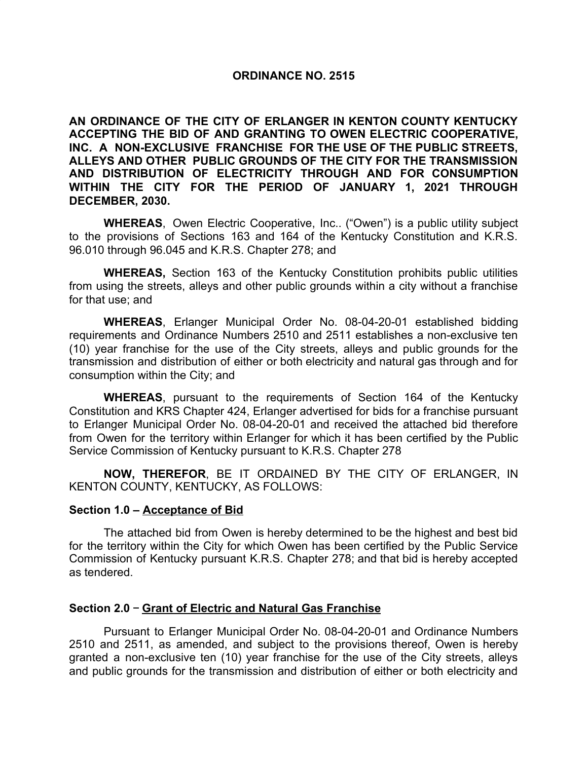### **ORDINANCE NO. 2515**

**AN ORDINANCE OF THE CITY OF ERLANGER IN KENTON COUNTY KENTUCKY ACCEPTING THE BID OF AND GRANTING TO OWEN ELECTRIC COOPERATIVE, INC. A NON-EXCLUSIVE FRANCHISE FOR THE USE OF THE PUBLIC STREETS, ALLEYS AND OTHER PUBLIC GROUNDS OF THE CITY FOR THE TRANSMISSION AND DISTRIBUTION OF ELECTRICITY THROUGH AND FOR CONSUMPTION WITHIN THE CITY FOR THE PERIOD OF JANUARY 1, 2021 THROUGH DECEMBER, 2030.**

**WHEREAS**, Owen Electric Cooperative, Inc.. ("Owen") is a public utility subject to the provisions of Sections 163 and 164 of the Kentucky Constitution and K.R.S. 96.010 through 96.045 and K.R.S. Chapter 278; and

**WHEREAS,** Section 163 of the Kentucky Constitution prohibits public utilities from using the streets, alleys and other public grounds within a city without a franchise for that use; and

**WHEREAS**, Erlanger Municipal Order No. 08-04-20-01 established bidding requirements and Ordinance Numbers 2510 and 2511 establishes a non-exclusive ten (10) year franchise for the use of the City streets, alleys and public grounds for the transmission and distribution of either or both electricity and natural gas through and for consumption within the City; and

**WHEREAS**, pursuant to the requirements of Section 164 of the Kentucky Constitution and KRS Chapter 424, Erlanger advertised for bids for a franchise pursuant to Erlanger Municipal Order No. 08-04-20-01 and received the attached bid therefore from Owen for the territory within Erlanger for which it has been certified by the Public Service Commission of Kentucky pursuant to K.R.S. Chapter 278

**NOW, THEREFOR**, BE IT ORDAINED BY THE CITY OF ERLANGER, IN KENTON COUNTY, KENTUCKY, AS FOLLOWS:

#### **Section 1.0 – Acceptance of Bid**

The attached bid from Owen is hereby determined to be the highest and best bid for the territory within the City for which Owen has been certified by the Public Service Commission of Kentucky pursuant K.R.S. Chapter 278; and that bid is hereby accepted as tendered.

### **Section 2.0** ‒ **Grant of Electric and Natural Gas Franchise**

Pursuant to Erlanger Municipal Order No. 08-04-20-01 and Ordinance Numbers 2510 and 2511, as amended, and subject to the provisions thereof, Owen is hereby granted a non-exclusive ten (10) year franchise for the use of the City streets, alleys and public grounds for the transmission and distribution of either or both electricity and